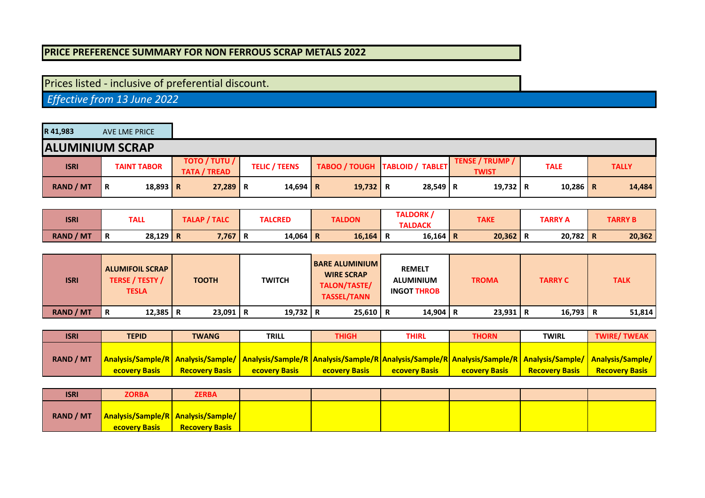## **PRICE PREFERENCE SUMMARY FOR NON FERROUS SCRAP METALS 2022**

## Prices listed - inclusive of preferential discount.

 *Effective from 13 June 2022*

| R 41,983         | AVE LME PRICE          |                                             |                      |          |                                  |                                        |             |              |
|------------------|------------------------|---------------------------------------------|----------------------|----------|----------------------------------|----------------------------------------|-------------|--------------|
|                  | <b>ALUMINIUM SCRAP</b> |                                             |                      |          |                                  |                                        |             |              |
| <b>ISRI</b>      | <b>TAINT TABOR</b>     | <b>TOTO / TUTU /</b><br><b>TATA / TREAD</b> | <b>TELIC / TEENS</b> |          | TABOO / TOUGH   TABLOID / TABLET | <b>TENSE / TRUMP /</b><br><b>TWIST</b> | <b>TALE</b> | <b>TALLY</b> |
| <b>RAND / MT</b> | 18,893   R<br>R        | $27,289$ R                                  | 14,694 R             | 19,732 R | $28,549$ R                       | 19,732 R                               | 10,286      | 14,484<br>R  |

| <b>ISRI</b>      | TALL            | TALAP / TALC | <b>TALCRED</b> | TALDORK,<br><b>TALDON</b> | <b>TAKE</b>     |        | <b>TARRY B</b> |        |
|------------------|-----------------|--------------|----------------|---------------------------|-----------------|--------|----------------|--------|
|                  |                 |              |                |                           | <b>TALDACK</b>  |        | <b>TARRY A</b> |        |
| <b>RAND / MT</b> | $28,129$ R<br>R | 7,767 R      | 14,064 R       | 16,164                    | $16,164$ R<br>n | 20,362 | 20,782         | 20,362 |

| <b>ISRI</b>      | <b>ALUMIFOIL SCRAP</b><br><b>TERSE / TESTY /</b><br><b>TESLA</b> | <b>TOOTH</b> | <b>TWITCH</b> | <b>BARE ALUMINIUM</b><br><b>WIRE SCRAP</b><br>TALON/TASTE/<br><b>TASSEL/TANN</b> | <b>REMELT</b><br><b>ALUMINIUM</b><br><b>INGOT THROB</b> | <b>TROMA</b> | <b>TARRY C</b> | <b>TALK</b> |
|------------------|------------------------------------------------------------------|--------------|---------------|----------------------------------------------------------------------------------|---------------------------------------------------------|--------------|----------------|-------------|
| <b>RAND / MT</b> | 12,385   R<br>R                                                  | $23,091$ R   | 19,732 R      | $25,610$ R                                                                       | 14,904 R                                                | $23,931$ R   | 16,793         | 51,814      |

| <b>ISRI</b>      | <b>TEPID</b>         | <b>TWANG</b>          | <b>TRILL</b>                                                                                                                                                                  | <b>THIGH</b>          | THIRL                | THORN                | <b>TWIRL</b>          | <b>TWIRE/TWEAK</b>    |
|------------------|----------------------|-----------------------|-------------------------------------------------------------------------------------------------------------------------------------------------------------------------------|-----------------------|----------------------|----------------------|-----------------------|-----------------------|
|                  |                      |                       |                                                                                                                                                                               |                       |                      |                      |                       |                       |
| <b>RAND / MT</b> |                      |                       | Analysis/Sample/R   Analysis/Sample/   Analysis/Sample/R   Analysis/Sample/R   Analysis/Sample/R   Analysis/Sample/R   Analysis/Sample/   Analysis/Sample/   Analysis/Sample/ |                       |                      |                      |                       |                       |
|                  | <b>ecovery Basis</b> | <b>Recovery Basis</b> | <b>ecovery Basis</b>                                                                                                                                                          | <b>Recovery Basis</b> | <b>ecovery Basis</b> | <b>ecovery Basis</b> | <b>Recovery Basis</b> | <b>Recovery Basis</b> |

| <b>ISRI</b> | <b>ZORBA</b>                                                          | <b>ZERBA</b>          |  |  |  |
|-------------|-----------------------------------------------------------------------|-----------------------|--|--|--|
| RAND / MT   | <b>Analysis/Sample/R   Analysis/Sample/  </b><br><b>ecovery Basis</b> | <b>Recovery Basis</b> |  |  |  |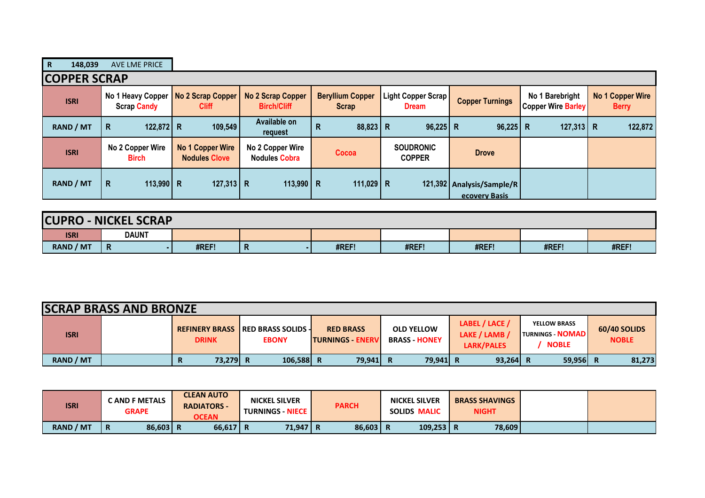| $\mathbf R$<br>148,039 | <b>AVE LME PRICE</b>                    |                                          |                                                |                                         |                                    |                                            |                                              |                                         |  |  |  |
|------------------------|-----------------------------------------|------------------------------------------|------------------------------------------------|-----------------------------------------|------------------------------------|--------------------------------------------|----------------------------------------------|-----------------------------------------|--|--|--|
|                        | <b>COPPER SCRAP</b>                     |                                          |                                                |                                         |                                    |                                            |                                              |                                         |  |  |  |
| <b>ISRI</b>            | No 1 Heavy Copper<br><b>Scrap Candy</b> | No 2 Scrap Copper<br><b>Cliff</b>        | <b>No 2 Scrap Copper</b><br><b>Birch/Cliff</b> | <b>Beryllium Copper</b><br><b>Scrap</b> | Light Copper Scrap<br><b>Dream</b> | <b>Copper Turnings</b>                     | No 1 Barebright<br><b>Copper Wire Barley</b> | <b>No 1 Copper Wire</b><br><b>Berry</b> |  |  |  |
| <b>RAND / MT</b>       | 122,872 R<br>R                          | 109,549                                  | Available on<br>request                        | $88,823$ R<br>R                         | $96,225$ R                         | $96,225$ R                                 | $127,313$ R                                  | 122,872                                 |  |  |  |
| <b>ISRI</b>            | No 2 Copper Wire<br><b>Birch</b>        | No 1 Copper Wire<br><b>Nodules Clove</b> | No 2 Copper Wire<br><b>Nodules Cobra</b>       | Cocoa                                   | <b>SOUDRONIC</b><br><b>COPPER</b>  | <b>Drove</b>                               |                                              |                                         |  |  |  |
| <b>RAND / MT</b>       | R<br>113,990 R                          | 127,313 R                                | 113,990   R                                    | 111,029   R                             |                                    | 121,392 Analysis/Sample/R<br>ecovery Basis |                                              |                                         |  |  |  |

| <b>CUPRO</b>     | <b>J-NICKEL SCRAP</b> |       |   |       |       |       |       |       |
|------------------|-----------------------|-------|---|-------|-------|-------|-------|-------|
| <b>ISRI</b>      | <b>DAUNT</b>          |       |   |       |       |       |       |       |
| <b>RAND / MT</b> | R                     | #REF! | n | #REF! | #REF! | #REF! | #REF! | #REF! |

| <b>SCRAP BRASS AND BRONZE</b> |  |               |                                                           |                                              |                                           |                                               |                                                                 |                              |
|-------------------------------|--|---------------|-----------------------------------------------------------|----------------------------------------------|-------------------------------------------|-----------------------------------------------|-----------------------------------------------------------------|------------------------------|
| <b>ISRI</b>                   |  | <b>DRINK</b>  | <b>REFINERY BRASS IRED BRASS SOLIDS -</b><br><b>EBONY</b> | <b>RED BRASS</b><br><b>ITURNINGS - ENERV</b> | <b>OLD YELLOW</b><br><b>BRASS - HONEY</b> | LABEL / LACE /<br>LAKE / LAMB /<br>LARK/PALES | <b>YELLOW BRASS</b><br><b>TURNINGS - NOMADI</b><br><b>NOBLE</b> | 60/40 SOLIDS<br><b>NOBLE</b> |
| <b>RAND / MT</b>              |  | 73.279 R<br>R | 106,588 R                                                 | 79,941 R                                     | 79.941 R                                  | $93,264$ R                                    | 59,956 R                                                        | 81,273                       |

| <b>ISRI</b>      | <b>CAND F METALS</b><br><b>GRAPE</b> | <b>CLEAN AUTO</b><br><b>RADIATORS -</b><br><b>OCEAN</b> | <b>NICKEL SILVER</b><br><b>TURNINGS - NIECE  </b> | <b>PARCH</b> | <b>NICKEL SILVER</b><br>SOLIDS MALIC | <b>BRASS SHAVINGS</b><br><b>NIGHT</b> |  |
|------------------|--------------------------------------|---------------------------------------------------------|---------------------------------------------------|--------------|--------------------------------------|---------------------------------------|--|
| <b>RAND / MT</b> | 86,603 R<br>Ð<br>n                   | $66,617$ R                                              | 71,947 R                                          | 86,603       | $109,253 \mid R$                     | 78,609                                |  |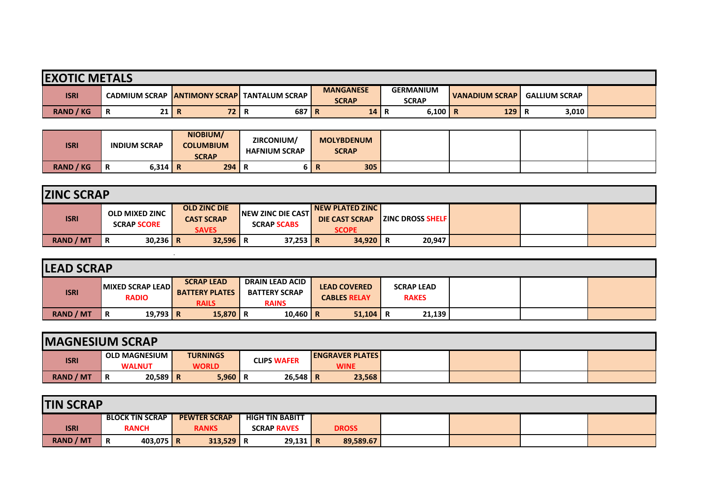| <b>EXOTIC METALS</b> |                                      |      |                         |                                  |                                  |                       |                      |  |  |
|----------------------|--------------------------------------|------|-------------------------|----------------------------------|----------------------------------|-----------------------|----------------------|--|--|
| <b>ISRI</b>          | <b>CADMIUM SCRAP ANTIMONY SCRAPI</b> |      | <b>TANTALUM SCRAP I</b> | <b>MANGANESE</b><br><b>SCRAP</b> | <b>GERMANIUM</b><br><b>SCRAP</b> | <b>VANADIUM SCRAP</b> | <b>GALLIUM SCRAP</b> |  |  |
| <b>RAND / KG</b>     | 21 R<br>Ð<br>в                       | 72 I | 687 R<br>ĸ              | 14                               | 6,100<br>n.                      | 129<br>R              | 3,010                |  |  |

| <b>ISRI</b>      | <b>INDIUM SCRAP</b> | NIOBIUM/<br><b>COLUMBIUM</b><br><b>SCRAP</b> | ZIRCONIUM/<br><b>HAFNIUM SCRAP</b> | <b>MOLYBDENUM</b><br><b>SCRAP</b> |  |
|------------------|---------------------|----------------------------------------------|------------------------------------|-----------------------------------|--|
| <b>RAND / KG</b> | $6,314$ R<br>n      | 294                                          |                                    | 305                               |  |

| <b>ZINC SCRAP</b> |                                             |                                                          |                                                  |                                                                    |                         |  |  |  |  |
|-------------------|---------------------------------------------|----------------------------------------------------------|--------------------------------------------------|--------------------------------------------------------------------|-------------------------|--|--|--|--|
| <b>ISRI</b>       | <b>OLD MIXED ZINC</b><br><b>SCRAP SCORE</b> | <b>OLD ZINC DIE</b><br><b>CAST SCRAP</b><br><b>SAVES</b> | <b>INEW ZINC DIE CASTI</b><br><b>SCRAP SCABS</b> | <b>INEW PLATED ZINC I</b><br><b>DIE CAST SCRAP</b><br><b>SCOPE</b> | <b>ZINC DROSS SHELF</b> |  |  |  |  |
| RAND / MT         | $30,236$ R<br>l R                           | $32,596$ R                                               | $37,253$ R                                       | 34,920                                                             | 20,947                  |  |  |  |  |

| <b>LEAD SCRAP</b> |                                  |                                                            |                                                                |                                            |                                   |  |  |  |  |  |  |  |
|-------------------|----------------------------------|------------------------------------------------------------|----------------------------------------------------------------|--------------------------------------------|-----------------------------------|--|--|--|--|--|--|--|
| <b>ISRI</b>       | MIXED SCRAP LEAD<br><b>RADIO</b> | <b>SCRAP LEAD</b><br><b>BATTERY PLATES</b><br><b>RAILS</b> | <b>DRAIN LEAD ACID</b><br><b>BATTERY SCRAP</b><br><b>RAINS</b> | <b>LEAD COVERED</b><br><b>CABLES RELAY</b> | <b>SCRAP LEAD</b><br><b>RAKES</b> |  |  |  |  |  |  |  |
| RAND / MT         | 19,793 R<br>R                    | $15,870$ R                                                 | 10,460   R                                                     | 51,104                                     | 21,139<br>R                       |  |  |  |  |  |  |  |

| <b>IMAGNESIUM SCRAP</b> |                      |                 |                    |                        |  |  |  |  |  |  |  |
|-------------------------|----------------------|-----------------|--------------------|------------------------|--|--|--|--|--|--|--|
| <b>ISRI</b>             | <b>OLD MAGNESIUM</b> | <b>TURNINGS</b> | <b>CLIPS WAFER</b> | <b>ENGRAVER PLATES</b> |  |  |  |  |  |  |  |
|                         | <b>WALNUT</b>        | <b>WORLD</b>    |                    | <b>WINE</b>            |  |  |  |  |  |  |  |
| <b>RAND / MT</b>        | $20,589$ R<br>Ð<br>в | $5,960$ R       | $26,548$ R         | 23,568                 |  |  |  |  |  |  |  |

| <b>TIN SCRAP</b> |                  |   |                        |  |                     |  |                        |  |              |  |  |  |
|------------------|------------------|---|------------------------|--|---------------------|--|------------------------|--|--------------|--|--|--|
|                  |                  |   | <b>BLOCK TIN SCRAP</b> |  | <b>PEWTER SCRAP</b> |  | <b>HIGH TIN BABITT</b> |  |              |  |  |  |
|                  | <b>ISRI</b>      |   | <b>RANCH</b>           |  | <b>RANKS</b>        |  | <b>SCRAP RAVES</b>     |  | <b>DROSS</b> |  |  |  |
|                  | <b>RAND / MT</b> | R | 403,075   R            |  | $313,529$ R         |  | $29,131$ R             |  | 89,589.67    |  |  |  |